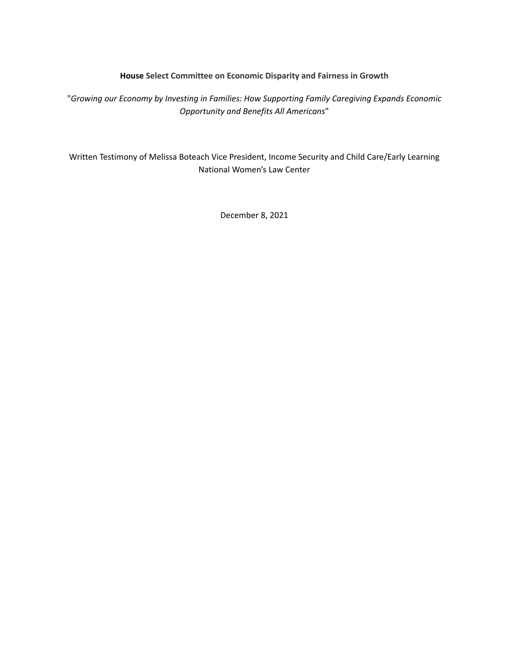#### **House Select Committee on Economic Disparity and Fairness in Growth**

"*Growing our Economy by Investing in Families: How Supporting Family Caregiving Expands Economic Opportunity and Benefits All Americans*"

Written Testimony of Melissa Boteach Vice President, Income Security and Child Care/Early Learning National Women's Law Center

December 8, 2021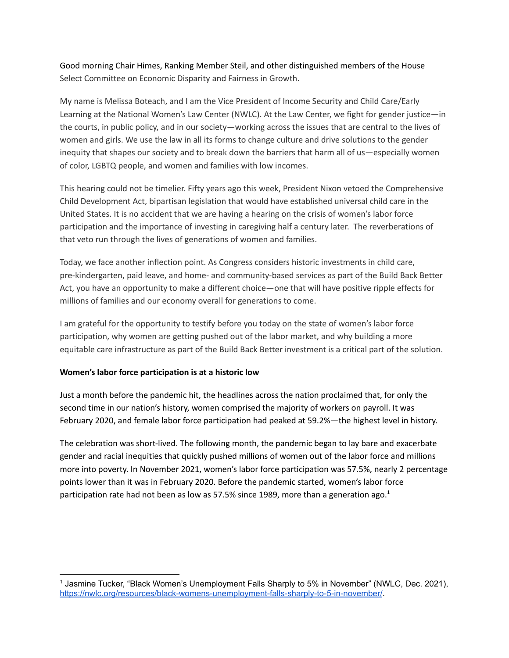Good morning Chair Himes, Ranking Member Steil, and other distinguished members of the House Select Committee on Economic Disparity and Fairness in Growth.

My name is Melissa Boteach, and I am the Vice President of Income Security and Child Care/Early Learning at the National Women's Law Center (NWLC). At the Law Center, we fight for gender justice—in the courts, in public policy, and in our society—working across the issues that are central to the lives of women and girls. We use the law in all its forms to change culture and drive solutions to the gender inequity that shapes our society and to break down the barriers that harm all of us—especially women of color, LGBTQ people, and women and families with low incomes.

This hearing could not be timelier. Fifty years ago this week, President Nixon vetoed the Comprehensive Child Development Act, bipartisan legislation that would have established universal child care in the United States. It is no accident that we are having a hearing on the crisis of women's labor force participation and the importance of investing in caregiving half a century later. The reverberations of that veto run through the lives of generations of women and families.

Today, we face another inflection point. As Congress considers historic investments in child care, pre-kindergarten, paid leave, and home- and community-based services as part of the Build Back Better Act, you have an opportunity to make a different choice—one that will have positive ripple effects for millions of families and our economy overall for generations to come.

I am grateful for the opportunity to testify before you today on the state of women's labor force participation, why women are getting pushed out of the labor market, and why building a more equitable care infrastructure as part of the Build Back Better investment is a critical part of the solution.

## **Women's labor force participation is at a historic low**

Just a month before the pandemic hit, the headlines across the nation proclaimed that, for only the second time in our nation's history, women comprised the majority of workers on payroll. It was February 2020, and female labor force participation had peaked at 59.2%—the highest level in history.

The celebration was short-lived. The following month, the pandemic began to lay bare and exacerbate gender and racial inequities that quickly pushed millions of women out of the labor force and millions more into poverty. In November 2021, women's labor force participation was 57.5%, nearly 2 percentage points lower than it was in February 2020. Before the pandemic started, women's labor force participation rate had not been as low as 57.5% since 1989, more than a generation ago.<sup>1</sup>

<sup>1</sup> Jasmine Tucker, "Black Women's Unemployment Falls Sharply to 5% in November" (NWLC, Dec. 2021), <https://nwlc.org/resources/black-womens-unemployment-falls-sharply-to-5-in-november/>.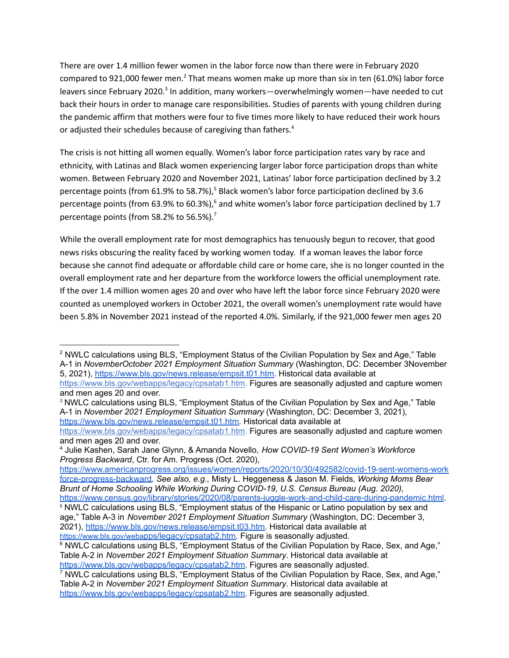There are over 1.4 million fewer women in the labor force now than there were in February 2020 compared to 921,000 fewer men.<sup>2</sup> That means women make up more than six in ten (61.0%) labor force leavers since February 2020.<sup>3</sup> In addition, many workers—overwhelmingly women—have needed to cut back their hours in order to manage care responsibilities. Studies of parents with young children during the pandemic affirm that mothers were four to five times more likely to have reduced their work hours or adjusted their schedules because of caregiving than fathers. 4

The crisis is not hitting all women equally. Women's labor force participation rates vary by race and ethnicity, with Latinas and Black women experiencing larger labor force participation drops than white women. Between February 2020 and November 2021, Latinas' labor force participation declined by 3.2 percentage points (from 61.9% to 58.7%),<sup>5</sup> Black women's labor force participation declined by 3.6 percentage points (from 63.9% to 60.3%),<sup>6</sup> and white women's labor force participation declined by 1.7 percentage points (from 58.2% to 56.5%).<sup>7</sup>

While the overall employment rate for most demographics has tenuously begun to recover, that good news risks obscuring the reality faced by working women today. If a woman leaves the labor force because she cannot find adequate or affordable child care or home care, she is no longer counted in the overall employment rate and her departure from the workforce lowers the official unemployment rate. If the over 1.4 million women ages 20 and over who have left the labor force since February 2020 were counted as unemployed workers in October 2021, the overall women's unemployment rate would have been 5.8% in November 2021 instead of the reported 4.0%. Similarly, if the 921,000 fewer men ages 20

<sup>2</sup> NWLC calculations using BLS, "Employment Status of the Civilian Population by Sex and Age," Table A-1 in *NovemberOctober 2021 Employment Situation Summary* (Washington, DC: December 3November 5, 2021), [https://www.bls.gov/news.release/empsit.t01.htm.](https://www.bls.gov/news.release/empsit.t01.htm) His[t](https://www.bls.gov/webapps/legacy/cpsatab1.htm)orical data available at

[https://www.bls.gov/webapps/legacy/cpsatab1.htm.](https://www.bls.gov/webapps/legacy/cpsatab1.htm) Figures are seasonally adjusted and capture women and men ages 20 and over.

<sup>&</sup>lt;sup>3</sup> NWLC calculations using BLS, "Employment Status of the Civilian Population by Sex and Age," Table A-1 in *November 2021 Employment Situation Summary* (Washington, DC: December 3, 2021), [https://www.bls.gov/news.release/empsit.t01.htm.](https://www.bls.gov/news.release/empsit.t01.htm) Historical data available at

[https://www.bls.gov/webapps/legacy/cpsatab1.htm.](https://www.bls.gov/webapps/legacy/cpsatab1.htm) Figures are seasonally adjusted and capture women and men ages 20 and over.

<sup>4</sup> Julie Kashen, Sarah Jane Glynn, & Amanda Novello, *How COVID-19 Sent Women's Workforce Progress Backward*, Ctr. for Am. Progress (Oct. 2020),

[https://www.americanprogress.org/issues/women/reports/2020/10/30/492582/covid-19-sent-womens-work](https://www.americanprogress.org/issues/women/reports/2020/10/30/492582/covid-19-sent-womens-workforce-progress-backward) [force-progress-backward.](https://www.americanprogress.org/issues/women/reports/2020/10/30/492582/covid-19-sent-womens-workforce-progress-backward) *See also, e.g.,* Misty L. Heggeness & Jason M. Fields*, Working Moms Bear Brunt of Home Schooling While Working During COVID-19, U.S. Census Bureau (Aug. 2020),*

<https://www.census.gov/library/stories/2020/08/parents-juggle-work-and-child-care-during-pandemic.html>.

<sup>&</sup>lt;sup>5</sup> NWLC calculations using BLS, "Employment status of the Hispanic or Latino population by sex and age," Table A-3 in *November 2021 Employment Situation Summary* (Washington, DC: December 3, 2021), [https://www.bls.gov/news.release/empsit.t03.htm.](https://www.bls.gov/news.release/empsit.t03.htm) Historical data available at

https://www.bls.gov/weba[pps/legacy/cpsatab2.htm.](https://www.bls.gov/webapps/legacy/cpsatab2.htm) Figure is seasonally adjusted.

<sup>&</sup>lt;sup>6</sup> NWLC calculations using BLS, "Employment Status of the Civilian Population by Race, Sex, and Age," Table A-2 in *November 2021 Employment Situation Summary*. Historical data available a[t](https://www.bls.gov/webapps/legacy/cpsatab2.htm) [https://www.bls.gov/webapps/legacy/cpsatab2.htm.](https://www.bls.gov/webapps/legacy/cpsatab2.htm) Figures are seasonally adjusted.

<sup>&</sup>lt;sup>7</sup> NWLC calculations using BLS, "Employment Status of the Civilian Population by Race, Sex, and Age," Table A-2 in *November 2021 Employment Situation Summary*. Historical data available a[t](https://www.bls.gov/webapps/legacy/cpsatab2.htm) [https://www.bls.gov/webapps/legacy/cpsatab2.htm.](https://www.bls.gov/webapps/legacy/cpsatab2.htm) Figures are seasonally adjusted.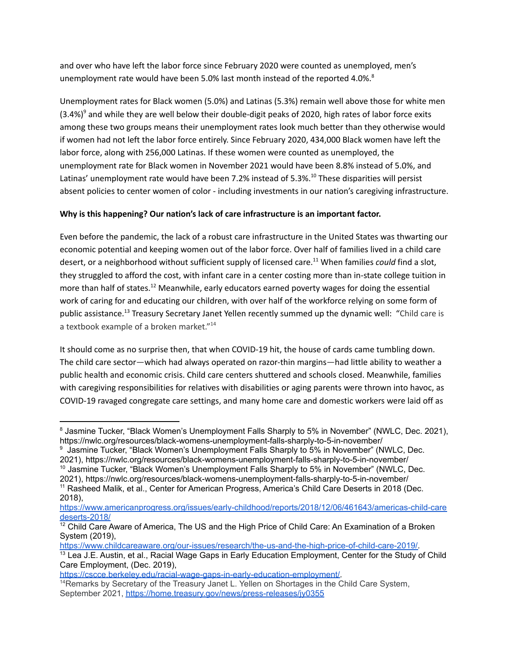and over who have left the labor force since February 2020 were counted as unemployed, men's unemployment rate would have been 5.0% last month instead of the reported 4.0%. $^8$ 

Unemployment rates for Black women (5.0%) and Latinas (5.3%) remain well above those for white men  $(3.4%)<sup>9</sup>$  and while they are well below their double-digit peaks of 2020, high rates of labor force exits among these two groups means their unemployment rates look much better than they otherwise would if women had not left the labor force entirely. Since February 2020, 434,000 Black women have left the labor force, along with 256,000 Latinas. If these women were counted as unemployed, the unemployment rate for Black women in November 2021 would have been 8.8% instead of 5.0%, and Latinas' unemployment rate would have been 7.2% instead of 5.3%. <sup>10</sup> These disparities will persist absent policies to center women of color - including investments in our nation's caregiving infrastructure.

# **Why is this happening? Our nation's lack of care infrastructure is an important factor.**

Even before the pandemic, the lack of a robust care infrastructure in the United States was thwarting our economic potential and keeping women out of the labor force. Over half of families lived in a child care desert, or a neighborhood without sufficient supply of licensed care. <sup>11</sup> When families *could* find a slot, they struggled to afford the cost, with infant care in a center costing more than in-state college tuition in more than half of states.<sup>12</sup> Meanwhile, early educators earned poverty wages for doing the essential work of caring for and educating our children, with over half of the workforce relying on some form of public assistance.<sup>13</sup> Treasury Secretary Janet Yellen recently summed up the dynamic well: "Child care is a textbook example of a broken market."<sup>14</sup>

It should come as no surprise then, that when COVID-19 hit, the house of cards came tumbling down. The child care sector—which had always operated on razor-thin margins—had little ability to weather a public health and economic crisis. Child care centers shuttered and schools closed. Meanwhile, families with caregiving responsibilities for relatives with disabilities or aging parents were thrown into havoc, as COVID-19 ravaged congregate care settings, and many home care and domestic workers were laid off as

- <sup>10</sup> Jasmine Tucker, "Black Women's Unemployment Falls Sharply to 5% in November" (NWLC, Dec. <sup>9</sup> Jasmine Tucker, "Black Women's Unemployment Falls Sharply to 5% in November" (NWLC, Dec. 2021), https://nwlc.org/resources/black-womens-unemployment-falls-sharply-to-5-in-november/
- <sup>11</sup> Rasheed Malik, et al., Center for American Progress, America's Child Care Deserts in 2018 (Dec. 2018), 2021), https://nwlc.org/resources/black-womens-unemployment-falls-sharply-to-5-in-november/

[https://www.childcareaware.org/our-issues/research/the-us-and-the-high-price-of-child-care-2019/.](https://www.childcareaware.org/our-issues/research/the-us-and-the-high-price-of-child-care-2019/)

<sup>&</sup>lt;sup>8</sup> Jasmine Tucker, "Black Women's Unemployment Falls Sharply to 5% in November" (NWLC, Dec. 2021), https://nwlc.org/resources/black-womens-unemployment-falls-sharply-to-5-in-november/

[https://www.americanprogress.org/issues/early-childhood/reports/2018/12/06/461643/americas-child-care](https://www.americanprogress.org/issues/early-childhood/reports/2018/12/06/461643/americas-child-caredeserts-2018/) [deserts-2018/](https://www.americanprogress.org/issues/early-childhood/reports/2018/12/06/461643/americas-child-caredeserts-2018/)

 $12$  Child Care Aware of America, The US and the High Price of Child Care: An Examination of a Broken System (2019),

<sup>&</sup>lt;sup>13</sup> Lea J.E. Austin, et al., Racial Wage Gaps in Early Education Employment, Center for the Study of Child Care Employment, (Dec. 2019),

<https://cscce.berkeley.edu/racial-wage-gaps-in-early-education-employment/>.

<sup>&</sup>lt;sup>14</sup>Remarks by Secretary of the Treasury Janet L. Yellen on Shortages in the Child Care System, September 2021, <https://home.treasury.gov/news/press-releases/jy0355>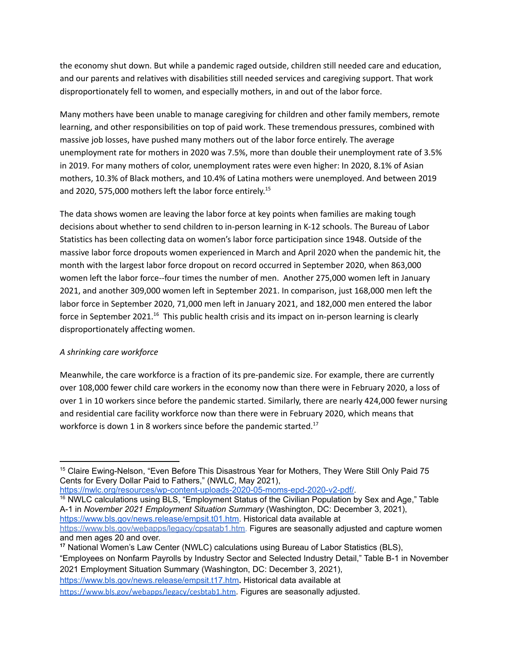the economy shut down. But while a pandemic raged outside, children still needed care and education, and our parents and relatives with disabilities still needed services and caregiving support. That work disproportionately fell to women, and especially mothers, in and out of the labor force.

Many mothers have been unable to manage caregiving for children and other family members, remote learning, and other responsibilities on top of paid work. These tremendous pressures, combined with massive job losses, have pushed many mothers out of the labor force entirely. The average unemployment rate for mothers in 2020 was 7.5%, more than double their unemployment rate of 3.5% in 2019. For many mothers of color, unemployment rates were even higher: In 2020, 8.1% of Asian mothers, 10.3% of Black mothers, and 10.4% of Latina mothers were unemployed. And between 2019 and 2020, 575,000 mothers left the labor force entirely. 15

The data shows women are leaving the labor force at key points when families are making tough decisions about whether to send children to in-person learning in K-12 schools. The Bureau of Labor Statistics has been collecting data on women's labor force participation since 1948. Outside of the massive labor force dropouts women experienced in March and April 2020 when the pandemic hit, the month with the largest labor force dropout on record occurred in September 2020, when 863,000 women left the labor force--four times the number of men. Another 275,000 women left in January 2021, and another 309,000 women left in September 2021. In comparison, just 168,000 men left the labor force in September 2020, 71,000 men left in January 2021, and 182,000 men entered the labor force in September 2021.<sup>16</sup> This public health crisis and its impact on in-person learning is clearly disproportionately affecting women.

## *A shrinking care workforce*

Meanwhile, the care workforce is a fraction of its pre-pandemic size. For example, there are currently over 108,000 fewer child care workers in the economy now than there were in February 2020, a loss of over 1 in 10 workers since before the pandemic started. Similarly, there are nearly 424,000 fewer nursing and residential care facility workforce now than there were in February 2020, which means that workforce is down 1 in 8 workers since before the pandemic started.<sup>17</sup>

[https://nwlc.org/resources/wp-content-uploads-2020-05-moms-epd-2020-v2-pdf/.](https://nwlc.org/resources/wp-content-uploads-2020-05-moms-epd-2020-v2-pdf/)

<sup>16</sup> NWLC calculations using BLS, "Employment Status of the Civilian Population by Sex and Age," Table A-1 in *November 2021 Employment Situation Summary* (Washington, DC: December 3, 2021), [https://www.bls.gov/news.release/empsit.t01.htm.](https://www.bls.gov/news.release/empsit.t01.htm) Historical data available at [https://www.bls.gov/webapps/legacy/cpsatab1.htm.](https://www.bls.gov/webapps/legacy/cpsatab1.htm) Figures are seasonally adjusted and capture women and men ages 20 and over.

**<sup>17</sup>** National Women's Law Center (NWLC) calculations using Bureau of Labor Statistics (BLS), "Employees on Nonfarm Payrolls by Industry Sector and Selected Industry Detail," Table B-1 in November 2021 Employment Situation Summary (Washington, DC: December 3, 2021)[,](https://www.bls.gov/news.release/empsit.t17.htm) <https://www.bls.gov/news.release/empsit.t17.htm>**.** Historical data available at <https://www.bls.gov/webapps/legacy/cesbtab1.htm>. Figures are seasonally adjusted.

<sup>&</sup>lt;sup>15</sup> Claire Ewing-Nelson, "Even Before This Disastrous Year for Mothers, They Were Still Only Paid 75 Cents for Every Dollar Paid to Fathers," (NWLC, May 2021),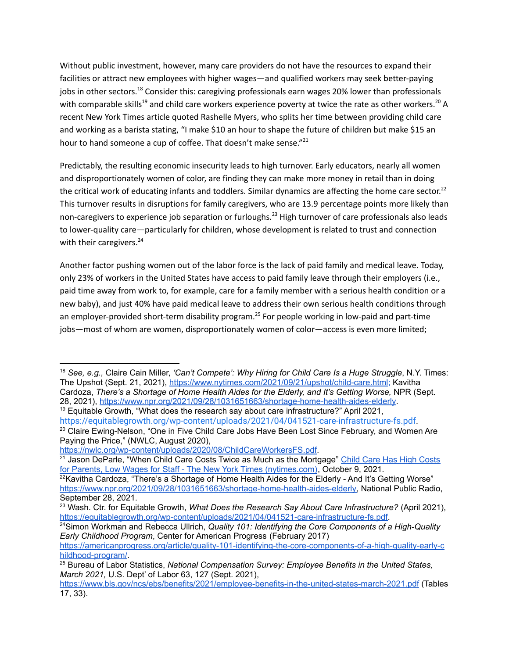Without public investment, however, many care providers do not have the resources to expand their facilities or attract new employees with higher wages—and qualified workers may seek better-paying jobs in other sectors.<sup>18</sup> Consider this: caregiving professionals earn wages 20% lower than professionals with comparable skills<sup>19</sup> and child care workers experience poverty at twice the rate as other workers.<sup>20</sup> A recent New York Times article quoted Rashelle Myers, who splits her time between providing child care and working as a barista stating, "I make \$10 an hour to shape the future of children but make \$15 an hour to hand someone a cup of coffee. That doesn't make sense."<sup>21</sup>

Predictably, the resulting economic insecurity leads to high turnover. Early educators, nearly all women and disproportionately women of color, are finding they can make more money in retail than in doing the critical work of educating infants and toddlers. Similar dynamics are affecting the home care sector.<sup>22</sup> This turnover results in disruptions for family caregivers, who are 13.9 percentage points more likely than non-caregivers to experience job separation or furloughs. <sup>23</sup> High turnover of care professionals also leads to lower-quality care—particularly for children, whose development is related to trust and connection with their caregivers.<sup>24</sup>

Another factor pushing women out of the labor force is the lack of paid family and medical leave. Today, only 23% of workers in the United States have access to paid family leave through their employers (i.e., paid time away from work to, for example, care for a family member with a serious health condition or a new baby), and just 40% have paid medical leave to address their own serious health conditions through an employer-provided short-term disability program.<sup>25</sup> For people working in low-paid and part-time iobs—most of whom are women, disproportionately women of color—access is even more limited;

<sup>18</sup> *See, e.g.,* Claire Cain Miller, *'Can't Compete': Why Hiring for Child Care Is a Huge Struggle*, N.Y. Times: The Upshot (Sept. 21, 2021), [https://www.nytimes.com/2021/09/21/upshot/child-care.html;](https://www.nytimes.com/2021/09/21/upshot/child-care.html) Kavitha Cardoza, *There's a [Shortage](https://www.nytimes.com/2021/09/21/upshot/child-care.html) of Home Health Aides for the Elderly, and It's Getting Worse,* NPR (Sept. 28, [2021\),](https://www.nytimes.com/2021/09/21/upshot/child-care.html) <https://www.npr.org/2021/09/28/1031651663/shortage-home-health-aides-elderly>[.](https://www.nytimes.com/2021/09/21/upshot/child-care.html)

 $19$  Equitable Growth, "What does the research say about care infrastructure?" April 2021,

<sup>&</sup>lt;sup>20</sup> Claire Ewing-Nelson, "One in Five Child Care Jobs Have Been Lost Since February, and Women Are Paying the Price," (NWLC, August 2020), <https://equitablegrowth.org/wp-content/uploads/2021/04/041521-care-infrastructure-fs.pdf>.

<https://nwlc.org/wp-content/uploads/2020/08/ChildCareWorkersFS.pdf>.

<sup>&</sup>lt;sup>21</sup> Jason DeParle, "When Child Care [Costs](https://www.nytimes.com/2021/10/09/us/politics/child-care-costs-wages-legislation.html) Twice as Much as the Mortgage" Child Care Has High Costs for Parents, Low Wages for Staff - The New York Times [\(nytimes.com\)](https://www.nytimes.com/2021/10/09/us/politics/child-care-costs-wages-legislation.html), October 9, 2021.

 $22$ Kavitha Cardoza, "There's a Shortage of Home Health Aides for the Elderly - And It's Getting Worse" [https://www.npr.org/2021/09/28/1031651663/shortage-home-health-aides-elderly,](https://www.npr.org/2021/09/28/1031651663/shortage-home-health-aides-elderly) National Public Radio, September 28, 2021.

<sup>23</sup> Wash. Ctr. for Equitable Growth, *What Does the Research Say About Care Infrastructure?* (April 2021), [https://equitablegrowth.org/wp-content/uploads/2021/04/041521-care-infrastructure-fs.pdf.](https://equitablegrowth.org/wp-content/uploads/2021/04/041521-care-infrastructure-fs.pdf)

<sup>24</sup>Simon Workman and Rebecca Ullrich, *Quality 101: Identifying the Core Components of a High-Quality Early Childhood Program*, Center for American Progress (February 2017)

[https://americanprogress.org/article/quality-101-identifying-the-core-components-of-a-high-quality-early-c](https://americanprogress.org/article/quality-101-identifying-the-core-components-of-a-high-quality-early-childhood-program/) [hildhood-program/](https://americanprogress.org/article/quality-101-identifying-the-core-components-of-a-high-quality-early-childhood-program/).

<sup>25</sup> Bureau of Labor Statistics, *National Compensation Survey: Employee Benefits in the United States, March 2021,* U.S. Dept' of Labor 63, 127 (Sept. 2021),

<https://www.bls.gov/ncs/ebs/benefits/2021/employee-benefits-in-the-united-states-march-2021.pdf> (Tables 17, 33).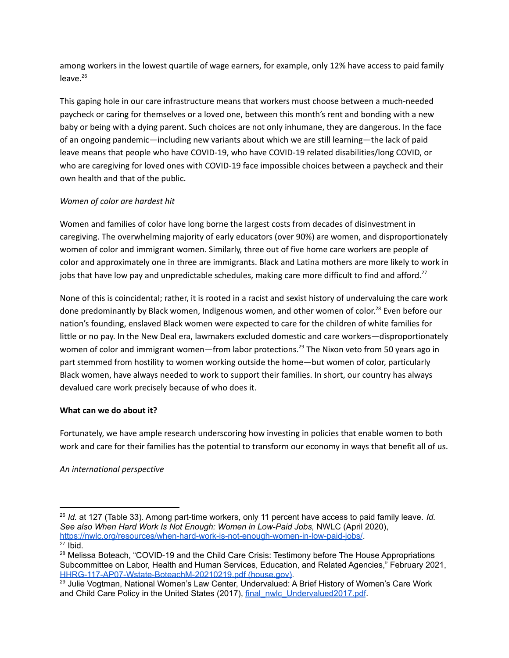among workers in the lowest quartile of wage earners, for example, only 12% have access to paid family leave. 26

This gaping hole in our care infrastructure means that workers must choose between a much-needed paycheck or caring for themselves or a loved one, between this month's rent and bonding with a new baby or being with a dying parent. Such choices are not only inhumane, they are dangerous. In the face of an ongoing pandemic—including new variants about which we are still learning—the lack of paid leave means that people who have COVID-19, who have COVID-19 related disabilities/long COVID, or who are caregiving for loved ones with COVID-19 face impossible choices between a paycheck and their own health and that of the public.

# *Women of color are hardest hit*

Women and families of color have long borne the largest costs from decades of disinvestment in caregiving. The overwhelming majority of early educators (over 90%) are women, and disproportionately women of color and immigrant women. Similarly, three out of five home care workers are people of color and approximately one in three are immigrants. Black and Latina mothers are more likely to work in jobs that have low pay and unpredictable schedules, making care more difficult to find and afford.<sup>27</sup>

None of this is coincidental; rather, it is rooted in a racist and sexist history of undervaluing the care work done predominantly by Black women, Indigenous women, and other women of color.<sup>28</sup> Even before our nation's founding, enslaved Black women were expected to care for the children of white families for little or no pay. In the New Deal era, lawmakers excluded domestic and care workers—disproportionately women of color and immigrant women—from labor protections.<sup>29</sup> The Nixon veto from 50 years ago in part stemmed from hostility to women working outside the home—but women of color, particularly Black women, have always needed to work to support their families. In short, our country has always devalued care work precisely because of who does it.

## **What can we do about it?**

Fortunately, we have ample research underscoring how investing in policies that enable women to both work and care for their families has the potential to transform our economy in ways that benefit all of us.

## *An international perspective*

 $27$  Ibid. <sup>26</sup> *Id.* at 127 (Table 33). Among part-time workers, only 11 percent have access to paid family leave. *Id. See also When Hard Work Is Not Enough: Women in Low-Paid Jobs,* NWLC (April 2020), <https://nwlc.org/resources/when-hard-work-is-not-enough-women-in-low-paid-jobs/>.

<sup>&</sup>lt;sup>28</sup> Melissa Boteach, "COVID-19 and the Child Care Crisis: Testimony before The House Appropriations Subcommittee on Labor, Health and Human Services, Education, and Related Agencies," February 2021, [HHRG-117-AP07-Wstate-BoteachM-20210219.pdf](https://docs.house.gov/meetings/AP/AP07/20210219/111202/HHRG-117-AP07-Wstate-BoteachM-20210219.pdf) (house.gov).

<sup>&</sup>lt;sup>29</sup> Julie Vogtman, National Women's Law Center, Undervalued: A Brief History of Women's Care Work and Child Care Policy in the United States (2017), [final\\_nwlc\\_Undervalued2017.pdf](https://nwlc.org/wp-content/uploads/2017/12/final_nwlc_Undervalued2017.pdf).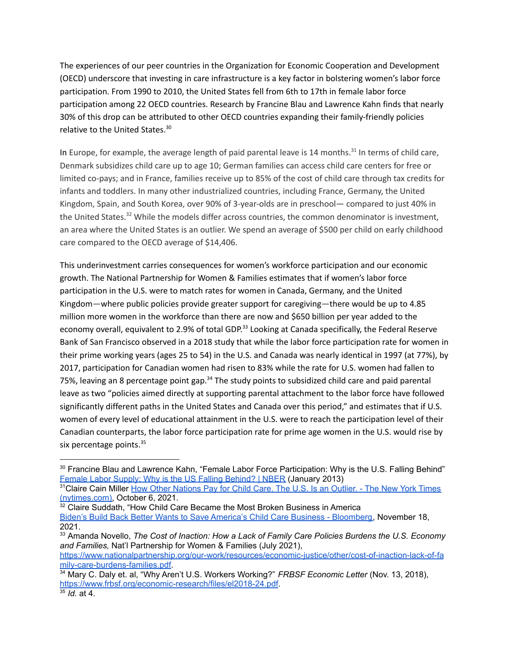The experiences of our peer countries in the Organization for Economic Cooperation and Development (OECD) underscore that investing in care infrastructure is a key factor in bolstering women's labor force participation. From 1990 to 2010, the United States fell from 6th to 17th in female labor force participation among 22 OECD countries. Research by Francine Blau and Lawrence Kahn finds that nearly 30% of this drop can be attributed to other OECD countries expanding their family-friendly policies relative to the United States. 30

In Europe, for example, the average length of paid parental leave is 14 months.<sup>31</sup> In terms of child care, Denmark subsidizes child care up to age 10; German families can access child care centers for free or limited co-pays; and in France, families receive up to 85% of the cost of child care through tax credits for infants and toddlers. In many other industrialized countries, including France, Germany, the United Kingdom, Spain, and South Korea, over 90% of 3-year-olds are in preschool— compared to just 40% in the United States.<sup>32</sup> While the models differ across countries, the common denominator is investment, an area where the United States is an outlier. We spend an average of \$500 per child on early childhood care compared to the OECD average of \$14,406.

This underinvestment carries consequences for women's workforce participation and our economic growth. The National Partnership for Women & Families estimates that if women's labor force participation in the U.S. were to match rates for women in Canada, Germany, and the United Kingdom—where public policies provide greater support for caregiving—there would be up to 4.85 million more women in the workforce than there are now and \$650 billion per year added to the economy overall, equivalent to 2.9% of total GDP.<sup>33</sup> Looking at Canada specifically, the Federal Reserve Bank of San Francisco observed in a 2018 study that while the labor force participation rate for women in their prime working years (ages 25 to 54) in the U.S. and Canada was nearly identical in 1997 (at 77%), by 2017, participation for Canadian women had risen to 83% while the rate for U.S. women had fallen to 75%, leaving an 8 percentage point gap.<sup>34</sup> The study points to subsidized child care and paid parental leave as two "policies aimed directly at supporting parental attachment to the labor force have followed significantly different paths in the United States and Canada over this period," and estimates that if U.S. women of every level of educational attainment in the U.S. were to reach the participation level of their Canadian counterparts, the labor force participation rate for prime age women in the U.S. would rise by six percentage points.<sup>35</sup>

<sup>32</sup> Claire Suddath, "How Child Care Became the Most Broken Business in America Biden's Build Back Better Wants to Save America's Child Care Business - [Bloomberg,](https://www.bloomberg.com/news/features/2021-11-18/biden-s-build-back-better-wants-to-save-america-s-child-care-business) November 18, 2021.

<sup>&</sup>lt;sup>30</sup> Francine Blau and Lawrence Kahn, "Female Labor Force Participation: Why is the U.S. Falling Behind" Female Labor Supply: Why is the US Falling [Behind?](https://www.nber.org/papers/w18702) | NBER (January 2013)

<sup>&</sup>lt;sup>31</sup>Claire Cain Miller How Other [Nations](https://www.nytimes.com/2021/10/06/upshot/child-care-biden.html) Pay for Child Care. The U.S. Is an Outlier. - The New York Times [\(nytimes.com\),](https://www.nytimes.com/2021/10/06/upshot/child-care-biden.html) October 6, 2021.

<sup>33</sup> Amanda Novello, *The Cost of Inaction: How a Lack of Family Care Policies Burdens the U.S. Economy and Families,* Nat'l Partnership for Women & Families (July 2021),

[https://www.nationalpartnership.org/our-work/resources/economic-justice/other/cost-of-inaction-lack-of-fa](https://www.nationalpartnership.org/our-work/resources/economic-justice/other/cost-of-inaction-lack-of-family-care-burdens-families.pdf) [mily-care-burdens-families.pdf.](https://www.nationalpartnership.org/our-work/resources/economic-justice/other/cost-of-inaction-lack-of-family-care-burdens-families.pdf)

<sup>34</sup> Mary C. Daly et. al, "Why Aren't U.S. Workers Working?" *FRBSF Economic Letter* (Nov. 13, 2018), [https://www.frbsf.org/economic-research/files/el2018-24.pdf.](https://www.frbsf.org/economic-research/files/el2018-24.pdf)

 $\overline{35}$  *Id.* at 4.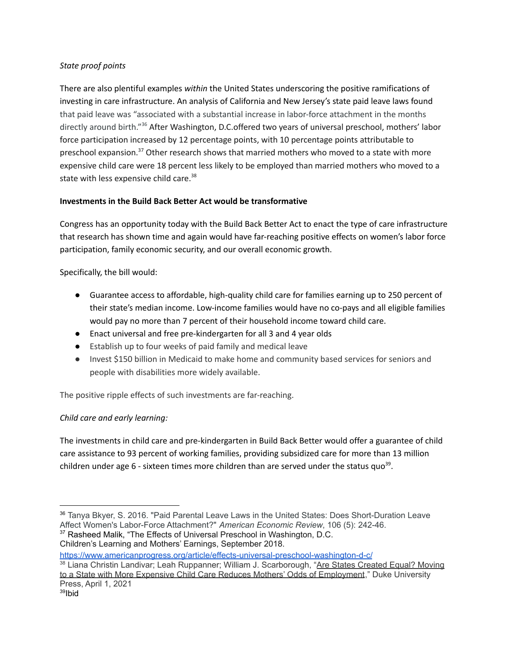## *State proof points*

There are also plentiful examples *within* the United States underscoring the positive ramifications of investing in care infrastructure. An analysis of California and New Jersey's state paid leave laws found that paid leave was "associated with a substantial increase in labor-force attachment in the months directly around birth."<sup>36</sup> After Washington, D.C.offered two years of universal preschool, mothers' labor force participation increased by 12 percentage points, with 10 percentage points attributable to preschool expansion.<sup>37</sup> Other research shows that married mothers who moved to a state with more expensive child care were 18 percent less likely to be employed than married mothers who moved to a state with less expensive child care.<sup>38</sup>

# **Investments in the Build Back Better Act would be transformative**

Congress has an opportunity today with the Build Back Better Act to enact the type of care infrastructure that research has shown time and again would have far-reaching positive effects on women's labor force participation, family economic security, and our overall economic growth.

Specifically, the bill would:

- Guarantee access to affordable, high-quality child care for families earning up to 250 percent of their state's median income. Low-income families would have no co-pays and all eligible families would pay no more than 7 percent of their household income toward child care.
- Enact universal and free pre-kindergarten for all 3 and 4 year olds
- Establish up to four weeks of paid family and medical leave
- Invest \$150 billion in Medicaid to make home and community based services for seniors and people with disabilities more widely available.

The positive ripple effects of such investments are far-reaching.

# *Child care and early learning:*

The investments in child care and pre-kindergarten in Build Back Better would offer a guarantee of child care assistance to 93 percent of working families, providing subsidized care for more than 13 million children under age 6 - sixteen times more children than are served under the status quo<sup>39</sup>.

Children's Learning and Mothers' Earnings, September 2018.

<https://www.americanprogress.org/article/effects-universal-preschool-washington-d-c/>

<sup>&</sup>lt;sup>37</sup> Rasheed Malik, "The Effects of Universal Preschool in Washington, D.C. <sup>36</sup> Tanya Bkyer, S. 2016. "Paid Parental Leave Laws in the United States: Does Short-Duration Leave Affect Women's Labor-Force Attachment?" *American Economic Review*, 106 (5): 242-46.

<sup>38</sup> Liana Christin Landivar; Leah Ruppanner; William J. Scarborough, "Are States [Created](https://read.dukeupress.edu/demography/article/58/2/451/169632/Are-States-Created-Equal-Moving-to-a-State-With) Equal? Moving to a State with More Expensive Child Care Reduces Mothers' Odds of [Employment](https://read.dukeupress.edu/demography/article/58/2/451/169632/Are-States-Created-Equal-Moving-to-a-State-With)," Duke University Press, April 1, 2021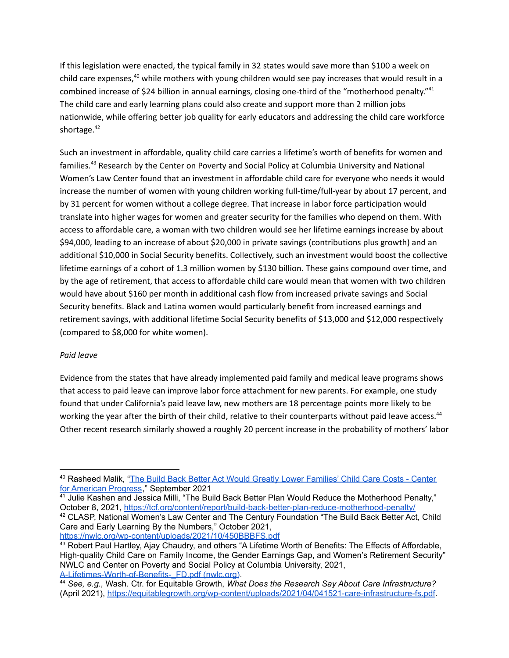If this legislation were enacted, the typical family in 32 states would save more than \$100 a week on child care expenses,<sup>40</sup> while mothers with young children would see pay increases that would result in a combined increase of \$24 billion in annual earnings, closing one-third of the "motherhood penalty."<sup>41</sup> The child care and early learning plans could also create and support more than 2 million jobs nationwide, while offering better job quality for early educators and addressing the child care workforce shortage. 42

Such an investment in affordable, quality child care carries a lifetime's worth of benefits for women and families.<sup>43</sup> Research by the Center on Poverty and Social Policy at Columbia University and National Women's Law Center found that an investment in affordable child care for everyone who needs it would increase the number of women with young children working full-time/full-year by about 17 percent, and by 31 percent for women without a college degree. That increase in labor force participation would translate into higher wages for women and greater security for the families who depend on them. With access to affordable care, a woman with two children would see her lifetime earnings increase by about \$94,000, leading to an increase of about \$20,000 in private savings (contributions plus growth) and an additional \$10,000 in Social Security benefits. Collectively, such an investment would boost the collective lifetime earnings of a cohort of 1.3 million women by \$130 billion. These gains compound over time, and by the age of retirement, that access to affordable child care would mean that women with two children would have about \$160 per month in additional cash flow from increased private savings and Social Security benefits. Black and Latina women would particularly benefit from increased earnings and retirement savings, with additional lifetime Social Security benefits of \$13,000 and \$12,000 respectively (compared to \$8,000 for white women).

#### *Paid leave*

Evidence from the states that have already implemented paid family and medical leave programs shows that access to paid leave can improve labor force attachment for new parents. For example, one study found that under California's paid leave law, new mothers are 18 percentage points more likely to be working the year after the birth of their child, relative to their counterparts without paid leave access.<sup>44</sup> Other recent research similarly showed a roughly 20 percent increase in the probability of mothers' labor

Care and Early Learning By the Numbers," October 2021, <https://nwlc.org/wp-content/uploads/2021/10/450BBBFS.pdf>

<sup>&</sup>lt;sup>40</sup> Rasheed Malik, "The Build Back Better Act Would Greatly Lower [Families'](https://www.americanprogress.org/article/build-back-better-act-greatly-lower-families-child-care-costs/) Child Care Costs - Center for [American](https://www.americanprogress.org/article/build-back-better-act-greatly-lower-families-child-care-costs/) Progress," September 2021

<sup>42</sup> CLASP, National Women's Law Center and The Century Foundation "The Build Back Better Act, Child <sup>41</sup> Julie Kashen and Jessica Milli, "The Build Back Better Plan Would Reduce the Motherhood Penalty," October 8, 2021, <https://tcf.org/content/report/build-back-better-plan-reduce-motherhood-penalty/>

<sup>43</sup> Robert Paul Hartley, Ajay Chaudry, and others "A Lifetime Worth of Benefits: The Effects of Affordable, High-quality Child Care on Family Income, the Gender Earnings Gap, and Women's Retirement Security" NWLC and Center on Poverty and Social Policy at Columbia University, 2021, [A-Lifetimes-Worth-of-Benefits-\\_FD.pdf](https://nwlc.org/wp-content/uploads/2021/04/A-Lifetimes-Worth-of-Benefits-_FD.pdf) (nwlc.org).

<sup>44</sup> *See, e.g.,* Wash. Ctr. for Equitable Growth, *What Does the Research Say About Care Infrastructure?* (April 2021), [https://equitablegrowth.org/wp-content/uploads/2021/04/041521-care-infrastructure-fs.pdf.](https://equitablegrowth.org/wp-content/uploads/2021/04/041521-care-infrastructure-fs.pdf)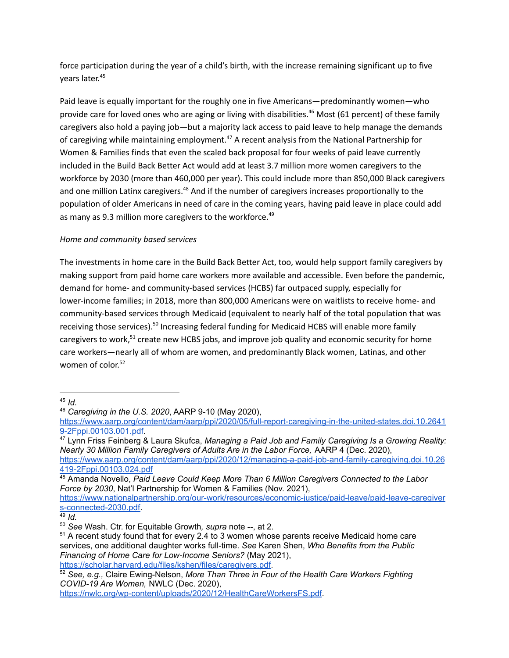force participation during the year of a child's birth, with the increase remaining significant up to five years later. 45

Paid leave is equally important for the roughly one in five Americans—predominantly women—who provide care for loved ones who are aging or living with disabilities. <sup>46</sup> Most (61 percent) of these family caregivers also hold a paying job—but a majority lack access to paid leave to help manage the demands of caregiving while maintaining employment.<sup>47</sup> A recent analysis from the National Partnership for Women & Families finds that even the scaled back proposal for four weeks of paid leave currently included in the Build Back Better Act would add at least 3.7 million more women caregivers to the workforce by 2030 (more than 460,000 per year). This could include more than 850,000 Black caregivers and one million Latinx caregivers.<sup>48</sup> And if the number of caregivers increases proportionally to the population of older Americans in need of care in the coming years, having paid leave in place could add as many as 9.3 million more caregivers to the workforce. 49

## *Home and community based services*

The investments in home care in the Build Back Better Act, too, would help support family caregivers by making support from paid home care workers more available and accessible. Even before the pandemic, demand for home- and community-based services (HCBS) far outpaced supply, especially for lower-income families; in 2018, more than 800,000 Americans were on waitlists to receive home- and community-based services through Medicaid (equivalent to nearly half of the total population that was receiving those services).<sup>50</sup> Increasing federal funding for Medicaid HCBS will enable more family caregivers to work,<sup>51</sup> create new HCBS jobs, and improve job quality and economic security for home care workers—nearly all of whom are women, and predominantly Black women, Latinas, and other women of color. 52

[https://www.nationalpartnership.org/our-work/resources/economic-justice/paid-leave/paid-leave-caregiver](https://www.nationalpartnership.org/our-work/resources/economic-justice/paid-leave/paid-leave-caregivers-connected-2030.pdf) [s-connected-2030.pdf.](https://www.nationalpartnership.org/our-work/resources/economic-justice/paid-leave/paid-leave-caregivers-connected-2030.pdf)

<sup>45</sup> *Id.*

<sup>46</sup> *Caregiving in the U.S. 2020*, AARP 9-10 (May 2020),

[https://www.aarp.org/content/dam/aarp/ppi/2020/05/full-report-caregiving-in-the-united-states.doi.10.2641](https://www.aarp.org/content/dam/aarp/ppi/2020/05/full-report-caregiving-in-the-united-states.doi.10.26419-2Fppi.00103.001.pdf) [9-2Fppi.00103.001.pdf.](https://www.aarp.org/content/dam/aarp/ppi/2020/05/full-report-caregiving-in-the-united-states.doi.10.26419-2Fppi.00103.001.pdf)

<sup>47</sup> Lynn Friss Feinberg & Laura Skufca, *Managing a Paid Job and Family Caregiving Is a Growing Reality: Nearly 30 Million Family Caregivers of Adults Are in the Labor Force,* AARP 4 (Dec. 2020), [https://www.aarp.org/content/dam/aarp/ppi/2020/12/managing-a-paid-job-and-family-caregiving.doi.10.26](https://www.aarp.org/content/dam/aarp/ppi/2020/12/managing-a-paid-job-and-family-caregiving.doi.10.26419-2Fppi.00103.024.pdf) [419-2Fppi.00103.024.pdf](https://www.aarp.org/content/dam/aarp/ppi/2020/12/managing-a-paid-job-and-family-caregiving.doi.10.26419-2Fppi.00103.024.pdf)

<sup>48</sup> Amanda Novello, *Paid Leave Could Keep More Than 6 Million Caregivers Connected to the Labor Force by 2030*, Nat'l Partnership for Women & Families (Nov. 2021),

<sup>49</sup> *Id.*

<sup>50</sup> *See* Wash. Ctr. for Equitable Growth*, supra* note --, at 2.

<sup>&</sup>lt;sup>51</sup> A recent study found that for every 2.4 to 3 women whose parents receive Medicaid home care services, one additional daughter works full-time. *See* Karen Shen, *Who Benefits from the Public Financing of Home Care for Low-Income Seniors?* (May 2021), [https://scholar.harvard.edu/files/kshen/files/caregivers.pdf.](https://scholar.harvard.edu/files/kshen/files/caregivers.pdf)

<sup>52</sup> *See, e.g.,* Claire Ewing-Nelson, *More Than Three in Four of the Health Care Workers Fighting COVID-19 Are Women,* NWLC (Dec. 2020),

<https://nwlc.org/wp-content/uploads/2020/12/HealthCareWorkersFS.pdf>.